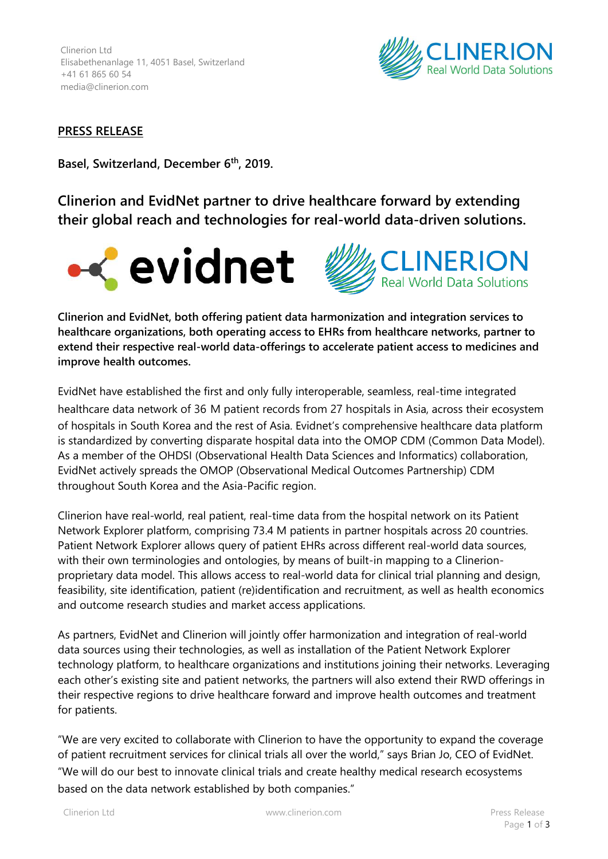

## **PRESS RELEASE**

**Basel, Switzerland, December 6 th, 2019.**

**Clinerion and EvidNet partner to drive healthcare forward by extending their global reach and technologies for real-world data-driven solutions.**





**Clinerion and EvidNet, both offering patient data harmonization and integration services to healthcare organizations, both operating access to EHRs from healthcare networks, partner to extend their respective real-world data-offerings to accelerate patient access to medicines and improve health outcomes.**

EvidNet have established the first and only fully interoperable, seamless, real-time integrated healthcare data network of 36 M patient records from 27 hospitals in Asia, across their ecosystem of hospitals in South Korea and the rest of Asia. Evidnet's comprehensive healthcare data platform is standardized by converting disparate hospital data into the OMOP CDM (Common Data Model). As a member of the OHDSI (Observational Health Data Sciences and Informatics) collaboration, EvidNet actively spreads the OMOP (Observational Medical Outcomes Partnership) CDM throughout South Korea and the Asia-Pacific region.

Clinerion have real-world, real patient, real-time data from the hospital network on its Patient Network Explorer platform, comprising 73.4 M patients in partner hospitals across 20 countries. Patient Network Explorer allows query of patient EHRs across different real-world data sources, with their own terminologies and ontologies, by means of built-in mapping to a Clinerionproprietary data model. This allows access to real-world data for clinical trial planning and design, feasibility, site identification, patient (re)identification and recruitment, as well as health economics and outcome research studies and market access applications.

As partners, EvidNet and Clinerion will jointly offer harmonization and integration of real-world data sources using their technologies, as well as installation of the Patient Network Explorer technology platform, to healthcare organizations and institutions joining their networks. Leveraging each other's existing site and patient networks, the partners will also extend their RWD offerings in their respective regions to drive healthcare forward and improve health outcomes and treatment for patients.

"We are very excited to collaborate with Clinerion to have the opportunity to expand the coverage of patient recruitment services for clinical trials all over the world," says Brian Jo, CEO of EvidNet. "We will do our best to innovate clinical trials and create healthy medical research ecosystems based on the data network established by both companies."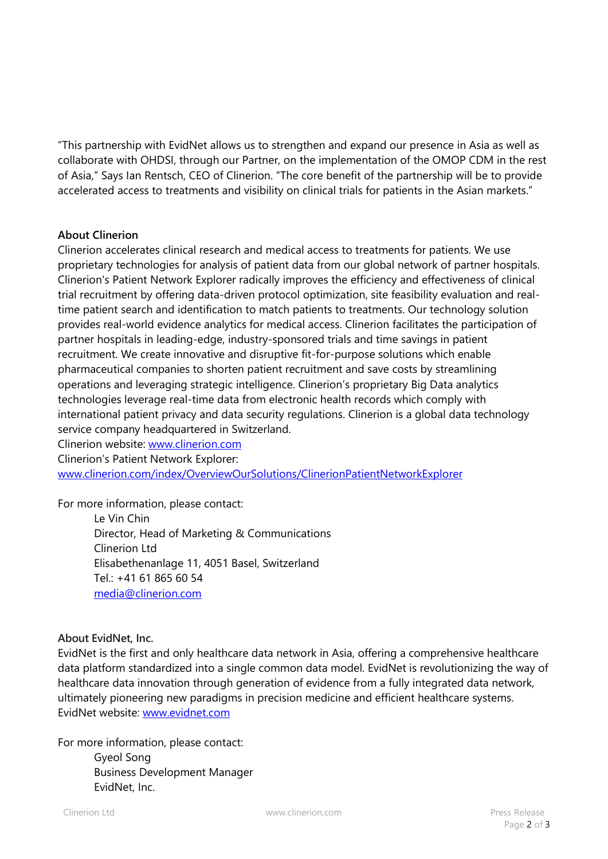"This partnership with EvidNet allows us to strengthen and expand our presence in Asia as well as collaborate with OHDSI, through our Partner, on the implementation of the OMOP CDM in the rest of Asia," Says Ian Rentsch, CEO of Clinerion. "The core benefit of the partnership will be to provide accelerated access to treatments and visibility on clinical trials for patients in the Asian markets."

## **About Clinerion**

Clinerion accelerates clinical research and medical access to treatments for patients. We use proprietary technologies for analysis of patient data from our global network of partner hospitals. Clinerion's Patient Network Explorer radically improves the efficiency and effectiveness of clinical trial recruitment by offering data-driven protocol optimization, site feasibility evaluation and realtime patient search and identification to match patients to treatments. Our technology solution provides real-world evidence analytics for medical access. Clinerion facilitates the participation of partner hospitals in leading-edge, industry-sponsored trials and time savings in patient recruitment. We create innovative and disruptive fit-for-purpose solutions which enable pharmaceutical companies to shorten patient recruitment and save costs by streamlining operations and leveraging strategic intelligence. Clinerion's proprietary Big Data analytics technologies leverage real-time data from electronic health records which comply with international patient privacy and data security regulations. Clinerion is a global data technology service company headquartered in Switzerland.

Clinerion website: [www.clinerion.com](http://www.clinerion.com/) Clinerion's Patient Network Explorer: [www.clinerion.com/index/OverviewOurSolutions/ClinerionPatientNetworkExplorer](http://www.clinerion.com/index/OverviewOurSolutions/ClinerionPatientNetworkExplorer)

For more information, please contact:

Le Vin Chin Director, Head of Marketing & Communications Clinerion Ltd Elisabethenanlage 11, 4051 Basel, Switzerland Tel.: +41 61 865 60 54 [media@clinerion.com](mailto:media@clinerion.com)

## **About EvidNet, Inc.**

EvidNet is the first and only healthcare data network in Asia, offering a comprehensive healthcare data platform standardized into a single common data model. EvidNet is revolutionizing the way of healthcare data innovation through generation of evidence from a fully integrated data network, ultimately pioneering new paradigms in precision medicine and efficient healthcare systems. EvidNet website: [www.evidnet.com](http://www.evidnet.com/)

For more information, please contact:

Gyeol Song Business Development Manager EvidNet, Inc.